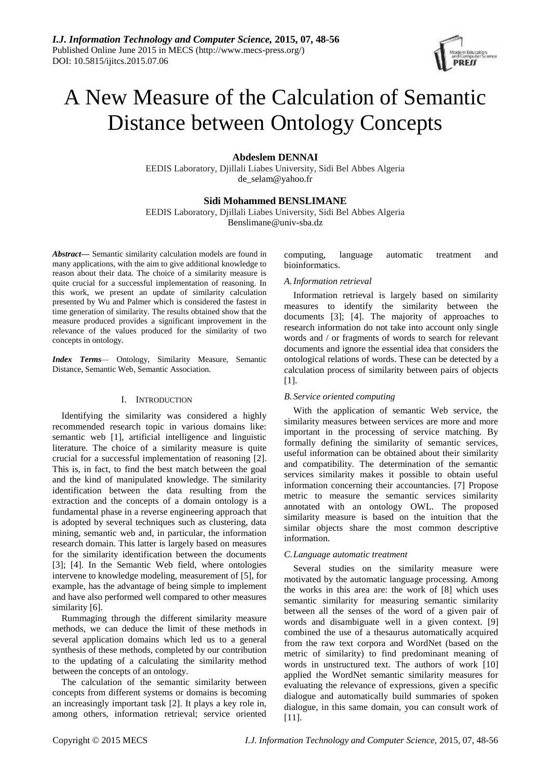

# A New Measure of the Calculation of Semantic Distance between Ontology Concepts

# **Abdeslem DENNAI**

EEDIS Laboratory, Djillali Liabes University, Sidi Bel Abbes Algeria de\_selam@yahoo.fr

# **Sidi Mohammed BENSLIMANE**

EEDIS Laboratory, Djillali Liabes University, Sidi Bel Abbes Algeria Benslimane@univ-sba.dz

*Abstract***—** Semantic similarity calculation models are found in many applications, with the aim to give additional knowledge to reason about their data. The choice of a similarity measure is quite crucial for a successful implementation of reasoning. In this work, we present an update of similarity calculation presented by Wu and Palmer which is considered the fastest in time generation of similarity. The results obtained show that the measure produced provides a significant improvement in the relevance of the values produced for the similarity of two concepts in ontology.

*Index Terms—* Ontology, Similarity Measure, Semantic Distance, Semantic Web, Semantic Association.

# I. INTRODUCTION

Identifying the similarity was considered a highly recommended research topic in various domains like: semantic web [1], artificial intelligence and linguistic literature. The choice of a similarity measure is quite crucial for a successful implementation of reasoning [2]. This is, in fact, to find the best match between the goal and the kind of manipulated knowledge. The similarity identification between the data resulting from the extraction and the concepts of a domain ontology is a fundamental phase in a reverse engineering approach that is adopted by several techniques such as clustering, data mining, semantic web and, in particular, the information research domain. This latter is largely based on measures for the similarity identification between the documents [3]; [4]. In the Semantic Web field, where ontologies intervene to knowledge modeling, measurement of [5], for example, has the advantage of being simple to implement and have also performed well compared to other measures similarity [6].

Rummaging through the different similarity measure methods, we can deduce the limit of these methods in several application domains which led us to a general synthesis of these methods, completed by our contribution to the updating of a calculating the similarity method between the concepts of an ontology.

The calculation of the semantic similarity between concepts from different systems or domains is becoming an increasingly important task [2]. It plays a key role in, among others, information retrieval; service oriented

computing, language automatic treatment and bioinformatics.

### *A.Information retrieval*

Information retrieval is largely based on similarity measures to identify the similarity between the documents [3]; [4]. The majority of approaches to research information do not take into account only single words and / or fragments of words to search for relevant documents and ignore the essential idea that considers the ontological relations of words. These can be detected by a calculation process of similarity between pairs of objects [1].

### *B. Service oriented computing*

With the application of semantic Web service, the similarity measures between services are more and more important in the processing of service matching. By formally defining the similarity of semantic services, useful information can be obtained about their similarity and compatibility. The determination of the semantic services similarity makes it possible to obtain useful information concerning their accountancies. [7] Propose metric to measure the semantic services similarity annotated with an ontology OWL. The proposed similarity measure is based on the intuition that the similar objects share the most common descriptive information.

### *C.Language automatic treatment*

Several studies on the similarity measure were motivated by the automatic language processing. Among the works in this area are: the work of [8] which uses semantic similarity for measuring semantic similarity between all the senses of the word of a given pair of words and disambiguate well in a given context. [9] combined the use of a thesaurus automatically acquired from the raw text corpora and WordNet (based on the metric of similarity) to find predominant meaning of words in unstructured text. The authors of work [10] applied the WordNet semantic similarity measures for evaluating the relevance of expressions, given a specific dialogue and automatically build summaries of spoken dialogue, in this same domain, you can consult work of [11].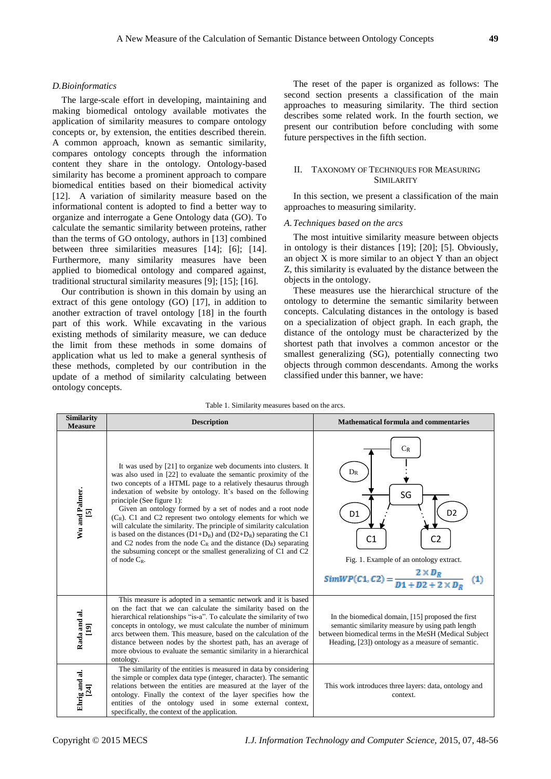### *D.Bioinformatics*

The large-scale effort in developing, maintaining and making biomedical ontology available motivates the application of similarity measures to compare ontology concepts or, by extension, the entities described therein. A common approach, known as semantic similarity, compares ontology concepts through the information content they share in the ontology. Ontology-based similarity has become a prominent approach to compare biomedical entities based on their biomedical activity [12]. A variation of similarity measure based on the informational content is adopted to find a better way to organize and interrogate a Gene Ontology data (GO). To calculate the semantic similarity between proteins, rather than the terms of GO ontology, authors in [13] combined between three similarities measures [14]; [6]; [14]. Furthermore, many similarity measures have been applied to biomedical ontology and compared against, traditional structural similarity measures [9]; [15]; [16].

Our contribution is shown in this domain by using an extract of this gene ontology (GO) [17], in addition to another extraction of travel ontology [18] in the fourth part of this work. While excavating in the various existing methods of similarity measure, we can deduce the limit from these methods in some domains of application what us led to make a general synthesis of these methods, completed by our contribution in the update of a method of similarity calculating between ontology concepts.

The reset of the paper is organized as follows: The second section presents a classification of the main approaches to measuring similarity. The third section describes some related work. In the fourth section, we present our contribution before concluding with some future perspectives in the fifth section.

# II. TAXONOMY OF TECHNIQUES FOR MEASURING SIMILARITY

In this section, we present a classification of the main approaches to measuring similarity.

### *A.Techniques based on the arcs*

The most intuitive similarity measure between objects in ontology is their distances [19]; [20]; [5]. Obviously, an object X is more similar to an object Y than an object Z, this similarity is evaluated by the distance between the objects in the ontology.

These measures use the hierarchical structure of the ontology to determine the semantic similarity between concepts. Calculating distances in the ontology is based on a specialization of object graph. In each graph, the distance of the ontology must be characterized by the shortest path that involves a common ancestor or the smallest generalizing (SG), potentially connecting two objects through common descendants. Among the works classified under this banner, we have:

| <b>Similarity</b><br><b>Measure</b> | <b>Description</b>                                                                                                                                                                                                                                                                                                                                                                                                                                                                                                                                                                                                                                                                                                                                    | <b>Mathematical formula and commentaries</b>                                                                                                                                                                        |
|-------------------------------------|-------------------------------------------------------------------------------------------------------------------------------------------------------------------------------------------------------------------------------------------------------------------------------------------------------------------------------------------------------------------------------------------------------------------------------------------------------------------------------------------------------------------------------------------------------------------------------------------------------------------------------------------------------------------------------------------------------------------------------------------------------|---------------------------------------------------------------------------------------------------------------------------------------------------------------------------------------------------------------------|
| Wu and Palmer.<br>$\boxed{5}$       | It was used by [21] to organize web documents into clusters. It<br>was also used in [22] to evaluate the semantic proximity of the<br>two concepts of a HTML page to a relatively thesaurus through<br>indexation of website by ontology. It's based on the following<br>principle (See figure 1):<br>Given an ontology formed by a set of nodes and a root node<br>$(C_R)$ . C1 and C2 represent two ontology elements for which we<br>will calculate the similarity. The principle of similarity calculation<br>is based on the distances $(D1+D_R)$ and $(D2+D_R)$ separating the C1<br>and C2 nodes from the node $C_R$ and the distance $(D_R)$ separating<br>the subsuming concept or the smallest generalizing of C1 and C2<br>of node $C_R$ . | $C_R$<br>$D_R$<br>SG<br>D <sub>2</sub><br>D <sub>1</sub><br>C <sub>1</sub><br>C <sub>2</sub><br>Fig. 1. Example of an ontology extract.<br>$SimWP(C1, C2) = \frac{2 \times D_R}{D1 + D2 + 2 \times D_R}$ (1)        |
| Rada and al.<br>[19]                | This measure is adopted in a semantic network and it is based<br>on the fact that we can calculate the similarity based on the<br>hierarchical relationships "is-a". To calculate the similarity of two<br>concepts in ontology, we must calculate the number of minimum<br>arcs between them. This measure, based on the calculation of the<br>distance between nodes by the shortest path, has an average of<br>more obvious to evaluate the semantic similarity in a hierarchical<br>ontology.                                                                                                                                                                                                                                                     | In the biomedical domain, [15] proposed the first<br>semantic similarity measure by using path length<br>between biomedical terms in the MeSH (Medical Subject<br>Heading, [23]) ontology as a measure of semantic. |
| Ehrig and al.<br>[24]               | The similarity of the entities is measured in data by considering<br>the simple or complex data type (integer, character). The semantic<br>relations between the entities are measured at the layer of the<br>ontology. Finally the context of the layer specifies how the<br>entities of the ontology used in some external context,<br>specifically, the context of the application.                                                                                                                                                                                                                                                                                                                                                                | This work introduces three layers: data, ontology and<br>context.                                                                                                                                                   |

| Table 1. Similarity measures based on the arcs. |  |
|-------------------------------------------------|--|
|-------------------------------------------------|--|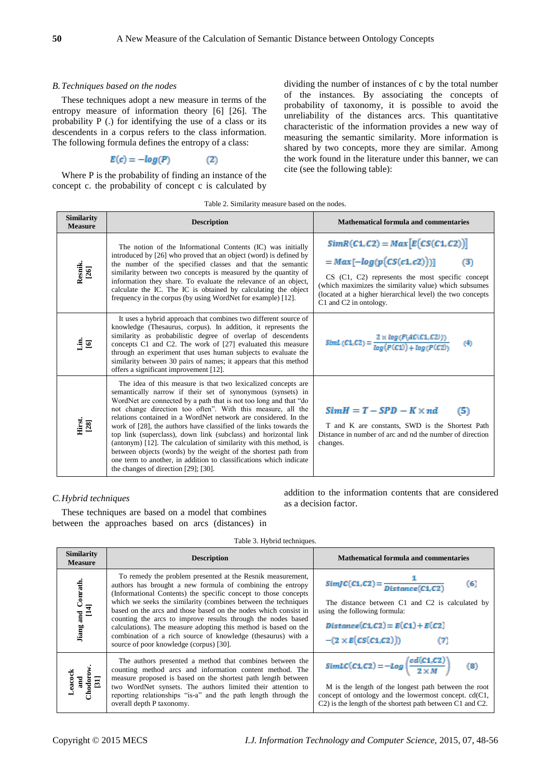### *B.Techniques based on the nodes*

These techniques adopt a new measure in terms of the entropy measure of information theory [6] [26]. The probability P (.) for identifying the use of a class or its descendents in a corpus refers to the class information. The following formula defines the entropy of a class:

#### $E(c) = -log(P)$  $(2)$

Where P is the probability of finding an instance of the concept c. the probability of concept c is calculated by

dividing the number of instances of c by the total number of the instances. By associating the concepts of probability of taxonomy, it is possible to avoid the unreliability of the distances arcs. This quantitative characteristic of the information provides a new way of measuring the semantic similarity. More information is shared by two concepts, more they are similar. Among the work found in the literature under this banner, we can cite (see the following table):

Table 2. Similarity measure based on the nodes.

| <b>Similarity</b><br><b>Measure</b> | <b>Description</b><br><b>Mathematical formula and commentaries</b>                                                                                                                                                                                                                                                                                                                                                                                                                                                                                                                                                                                                                                                                  |                                                                                                                                                                                                                                                                                     |
|-------------------------------------|-------------------------------------------------------------------------------------------------------------------------------------------------------------------------------------------------------------------------------------------------------------------------------------------------------------------------------------------------------------------------------------------------------------------------------------------------------------------------------------------------------------------------------------------------------------------------------------------------------------------------------------------------------------------------------------------------------------------------------------|-------------------------------------------------------------------------------------------------------------------------------------------------------------------------------------------------------------------------------------------------------------------------------------|
| Resnik.<br>[26]                     | The notion of the Informational Contents (IC) was initially<br>introduced by [26] who proved that an object (word) is defined by<br>the number of the specified classes and that the semantic<br>similarity between two concepts is measured by the quantity of<br>information they share. To evaluate the relevance of an object,<br>calculate the IC. The IC is obtained by calculating the object<br>frequency in the corpus (by using WordNet for example) [12].                                                                                                                                                                                                                                                                | $SimR(C1, C2) = Max [E(CS(C1, C2))]$<br>$= Max[-log(p(CS(c1, c2)))]$<br>(3)<br>$CS$ $(C1, C2)$ represents the most specific concept<br>(which maximizes the similarity value) which subsumes<br>(located at a higher hierarchical level) the two concepts<br>C1 and C2 in ontology. |
| $\overline{5}$                      | It uses a hybrid approach that combines two different source of<br>knowledge (Thesaurus, corpus). In addition, it represents the<br>similarity as probabilistic degree of overlap of descendents<br>concepts C1 and C2. The work of [27] evaluated this measure<br>through an experiment that uses human subjects to evaluate the<br>similarity between 30 pairs of names; it appears that this method<br>offers a significant improvement [12].                                                                                                                                                                                                                                                                                    | $SimL(C1, C2) = \frac{2 \times log(P(AC(C1, C2)))}{log(P(C1)) + log(P(C2))}$<br>(4)                                                                                                                                                                                                 |
| Hirst.<br>[28]                      | The idea of this measure is that two lexicalized concepts are<br>semantically narrow if their set of synonymous (synsets) in<br>WordNet are connected by a path that is not too long and that "do<br>not change direction too often". With this measure, all the<br>relations contained in a WordNet network are considered. In the<br>work of [28], the authors have classified of the links towards the<br>top link (superclass), down link (subclass) and horizontal link<br>(antonym) [12]. The calculation of similarity with this method, is<br>between objects (words) by the weight of the shortest path from<br>one term to another, in addition to classifications which indicate<br>the changes of direction [29]; [30]. | $SimH = T - SPD - K \times nd$<br>(5)<br>T and K are constants, SWD is the Shortest Path<br>Distance in number of arc and nd the number of direction<br>changes.                                                                                                                    |

### *C.Hybrid techniques*

These techniques are based on a model that combines between the approaches based on arcs (distances) in addition to the information contents that are considered as a decision factor.

Table 3. Hybrid techniques.

| <b>Similarity</b><br><b>Measure</b>        | <b>Description</b>                                                                                                                                                                                                                                                                                                                                                                                                                                                                                                                                                             | <b>Mathematical formula and commentaries</b>                                                                                                                                                                                                                                                |
|--------------------------------------------|--------------------------------------------------------------------------------------------------------------------------------------------------------------------------------------------------------------------------------------------------------------------------------------------------------------------------------------------------------------------------------------------------------------------------------------------------------------------------------------------------------------------------------------------------------------------------------|---------------------------------------------------------------------------------------------------------------------------------------------------------------------------------------------------------------------------------------------------------------------------------------------|
| Jiang and Conrath.<br>[14]                 | To remedy the problem presented at the Resnik measurement,<br>authors has brought a new formula of combining the entropy<br>(Informational Contents) the specific concept to those concepts<br>which we seeks the similarity (combines between the techniques<br>based on the arcs and those based on the nodes which consist in<br>counting the arcs to improve results through the nodes based<br>calculations). The measure adopting this method is based on the<br>combination of a rich source of knowledge (thesaurus) with a<br>source of poor knowledge (corpus) [30]. | $SimJC(C1,C2) = \frac{1}{Distance(C1,C2)}$<br>(6)<br>The distance between C1 and C2 is calculated by<br>using the following formula:<br>$Distance(C1, C2) = E(C1) + E(C2)$<br>$-(2 \times E(csc(1, c2)))$<br>(7)                                                                            |
| and<br>Chodorow.<br>[31]<br><b>Leacock</b> | The authors presented a method that combines between the<br>counting method arcs and information content method. The<br>measure proposed is based on the shortest path length between<br>two WordNet synsets. The authors limited their attention to<br>reporting relationships "is-a" and the path length through the<br>overall depth P taxonomy.                                                                                                                                                                                                                            | $SimLC(C1, C2) = -Log\left(\frac{cd(C1, C2)}{2 \times M}\right)$<br>(8)<br>M is the length of the longest path between the root<br>concept of ontology and the lowermost concept. cd(C1,<br>C <sub>2</sub> ) is the length of the shortest path between C <sub>1</sub> and C <sub>2</sub> . |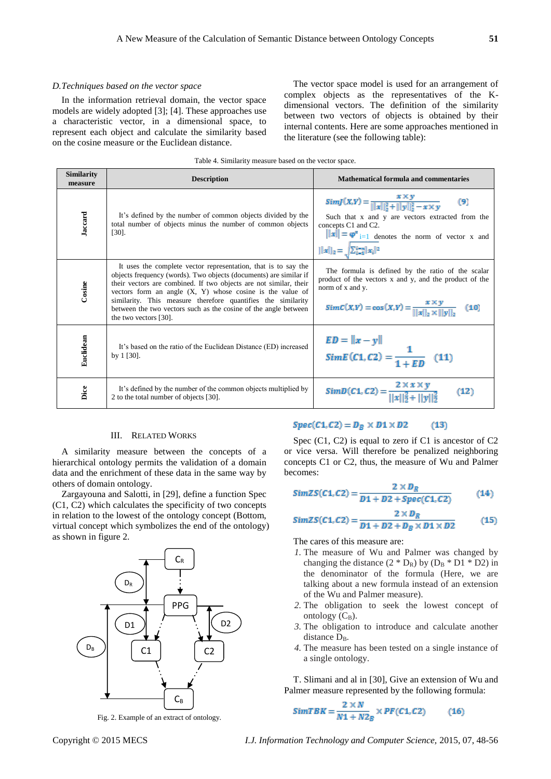### *D.Techniques based on the vector space*

In the information retrieval domain, the vector space models are widely adopted [3]; [4]. These approaches use a characteristic vector, in a dimensional space, to represent each object and calculate the similarity based on the cosine measure or the Euclidean distance.

The vector space model is used for an arrangement of complex objects as the representatives of the Kdimensional vectors. The definition of the similarity between two vectors of objects is obtained by their internal contents. Here are some approaches mentioned in the literature (see the following table):

| Table 4. Similarity measure based on the vector space. |  |  |  |  |  |  |  |
|--------------------------------------------------------|--|--|--|--|--|--|--|
|--------------------------------------------------------|--|--|--|--|--|--|--|

| <b>Similarity</b><br>measure | <b>Description</b>                                                                                                                                                                                                                                                                                                                                                                                                                  | <b>Mathematical formula and commentaries</b>                                                                                                                                                                                                                  |
|------------------------------|-------------------------------------------------------------------------------------------------------------------------------------------------------------------------------------------------------------------------------------------------------------------------------------------------------------------------------------------------------------------------------------------------------------------------------------|---------------------------------------------------------------------------------------------------------------------------------------------------------------------------------------------------------------------------------------------------------------|
| Jaccard                      | It's defined by the number of common objects divided by the<br>total number of objects minus the number of common objects<br>$[30]$ .                                                                                                                                                                                                                                                                                               | $SimJ(X,Y) = \frac{x \times y}{  x  _2^2 +   y  _2^2 - x \times y}$ (9)<br>Such that x and y are vectors extracted from the<br>concepts C1 and C2.<br>$  x   = \varphi^x$ i=1 denotes the norm of vector x and<br>$  x  _2 = \sqrt{\sum_{i=1}^{i=1}  x_i ^2}$ |
| Cosine                       | It uses the complete vector representation, that is to say the<br>objects frequency (words). Two objects (documents) are similar if<br>their vectors are combined. If two objects are not similar, their<br>vectors form an angle $(X, Y)$ whose cosine is the value of<br>similarity. This measure therefore quantifies the similarity<br>between the two vectors such as the cosine of the angle between<br>the two vectors [30]. | The formula is defined by the ratio of the scalar<br>product of the vectors x and y, and the product of the<br>norm of x and y.<br>$SimC(X,Y) = cos(X,Y) = \frac{x \times y}{  x  _2 \times   y  _2}$ (10)                                                    |
| Euclidean                    | It's based on the ratio of the Euclidean Distance (ED) increased<br>by $1 \, [30]$ .                                                                                                                                                                                                                                                                                                                                                | $ED =   x - y  $<br>$SimE(C1, C2) = \frac{1}{1 + ED}$ (11)                                                                                                                                                                                                    |
| Dice                         | It's defined by the number of the common objects multiplied by<br>2 to the total number of objects [30].                                                                                                                                                                                                                                                                                                                            | $SimD(C1, C2) = \frac{2 \times x \times y}{  x  _2^2 +   w  _2^2}$<br>(12)                                                                                                                                                                                    |

### III. RELATED WORKS

A similarity measure between the concepts of a hierarchical ontology permits the validation of a domain data and the enrichment of these data in the same way by others of domain ontology.

Zargayouna and Salotti, in [29], define a function Spec (C1, C2) which calculates the specificity of two concepts in relation to the lowest of the ontology concept (Bottom, virtual concept which symbolizes the end of the ontology) as shown in figure 2.



Fig. 2. Example of an extract of ontology.

#### $Spec(C1, C2) = D_B \times D1 \times D2$  $(13)$

Spec (C1, C2) is equal to zero if C1 is ancestor of C2 or vice versa. Will therefore be penalized neighboring concepts C1 or C2, thus, the measure of Wu and Palmer becomes:

$$
SimZS(C1, C2) = \frac{2 \times D_R}{D1 + D2 + Spec(C1, C2)} \tag{14}
$$

$$
SimZS(C1, C2) = \frac{2 \times D_R}{D1 + D2 + D_R \times D1 \times D2}
$$
 (15)

The cares of this measure are:

- *1.* The measure of Wu and Palmer was changed by changing the distance  $(2 * D_R)$  by  $(D_B * D1 * D2)$  in the denominator of the formula (Here, we are talking about a new formula instead of an extension of the Wu and Palmer measure).
- *2.* The obligation to seek the lowest concept of ontology  $(C_B)$ .
- *3.* The obligation to introduce and calculate another distance  $D_B$ .
- *4.* The measure has been tested on a single instance of a single ontology.

T. Slimani and al in [30], Give an extension of Wu and Palmer measure represented by the following formula:

$$
SimTBK = \frac{2 \times N}{N1 + N2_B} \times PF(C1, C2) \tag{16}
$$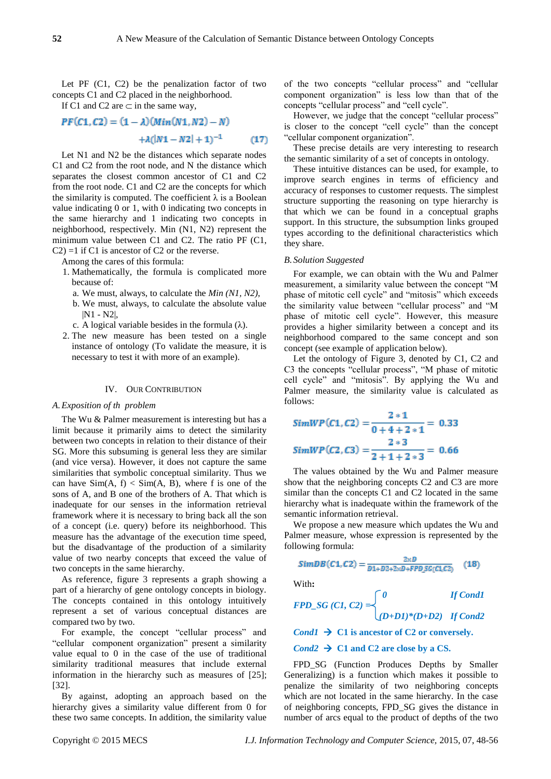Let PF (C1, C2) be the penalization factor of two concepts C1 and C2 placed in the neighborhood.

If C1 and C2 are  $\subset$  in the same way,

$$
PF(C1, C2) = (1 - \lambda)(Min(N1, N2) - N)
$$
  
 
$$
+ \lambda(|N1 - N2| + 1)^{-1}
$$
 (17)

Let N1 and N2 be the distances which separate nodes C1 and C2 from the root node, and N the distance which separates the closest common ancestor of C1 and C2 from the root node. C1 and C2 are the concepts for which the similarity is computed. The coefficient  $\lambda$  is a Boolean value indicating 0 or 1, with 0 indicating two concepts in the same hierarchy and 1 indicating two concepts in neighborhood, respectively. Min (N1, N2) represent the minimum value between C1 and C2. The ratio PF (C1,  $C_2$ ) =1 if C1 is ancestor of C2 or the reverse.

Among the cares of this formula:

- 1. Mathematically, the formula is complicated more because of:
	- a. We must, always, to calculate the *Min (N1, N2)*,
	- b. We must, always, to calculate the absolute value |N1 - N2|,
	- c. A logical variable besides in the formula  $(\lambda)$ .
- 2. The new measure has been tested on a single instance of ontology (To validate the measure, it is necessary to test it with more of an example).

### IV. OUR CONTRIBUTION

### *A.Exposition of th problem*

The Wu & Palmer measurement is interesting but has a limit because it primarily aims to detect the similarity between two concepts in relation to their distance of their SG. More this subsuming is general less they are similar (and vice versa). However, it does not capture the same similarities that symbolic conceptual similarity. Thus we can have  $Sim(A, f) < Sim(A, B)$ , where f is one of the sons of A, and B one of the brothers of A. That which is inadequate for our senses in the information retrieval framework where it is necessary to bring back all the son of a concept (i.e. query) before its neighborhood. This measure has the advantage of the execution time speed, but the disadvantage of the production of a similarity value of two nearby concepts that exceed the value of two concepts in the same hierarchy.

As reference, figure 3 represents a graph showing a part of a hierarchy of gene ontology concepts in biology. The concepts contained in this ontology intuitively represent a set of various conceptual distances are compared two by two.

For example, the concept "cellular process" and "cellular component organization" present a similarity value equal to 0 in the case of the use of traditional similarity traditional measures that include external information in the hierarchy such as measures of [25]; [32].

By against, adopting an approach based on the hierarchy gives a similarity value different from 0 for these two same concepts. In addition, the similarity value

of the two concepts "cellular process" and "cellular component organization" is less low than that of the concepts "cellular process" and "cell cycle".

However, we judge that the concept "cellular process" is closer to the concept "cell cycle" than the concept "cellular component organization".

These precise details are very interesting to research the semantic similarity of a set of concepts in ontology.

These intuitive distances can be used, for example, to improve search engines in terms of efficiency and accuracy of responses to customer requests. The simplest structure supporting the reasoning on type hierarchy is that which we can be found in a conceptual graphs support. In this structure, the subsumption links grouped types according to the definitional characteristics which they share.

### *B. Solution Suggested*

For example, we can obtain with the Wu and Palmer measurement, a similarity value between the concept "M phase of mitotic cell cycle" and "mitosis" which exceeds the similarity value between "cellular process" and "M phase of mitotic cell cycle". However, this measure provides a higher similarity between a concept and its neighborhood compared to the same concept and son concept (see example of application below).

Let the ontology of Figure 3, denoted by C1, C2 and C3 the concepts "cellular process", "M phase of mitotic cell cycle" and "mitosis". By applying the Wu and Palmer measure, the similarity value is calculated as follows:

$$
SimWP(C1, C2) = \frac{2*1}{0+4+2*1} = 0.33
$$

$$
SimWP(C2, C3) = \frac{2*3}{2+1+2*3} = 0.66
$$

The values obtained by the Wu and Palmer measure show that the neighboring concepts C2 and C3 are more similar than the concepts C1 and C2 located in the same hierarchy what is inadequate within the framework of the semantic information retrieval.

We propose a new measure which updates the Wu and Palmer measure, whose expression is represented by the following formula:

$$
SimDB(C1, C2) = \frac{2 \times D}{D1 + D2 + 2 \times D + FPD_SG(C1, C2)} \quad (18)
$$

With**:**

$$
FPD\_SG(C1, C2) = \begin{cases} 0 & \text{If } Cond1 \\ (D+DI)^*(D+D2) & \text{If } Cond2 \end{cases}
$$

$$
Cond1 \rightarrow
$$
 C1 is ancestor of C2 or conversely.

# *Cond2*  $\rightarrow$  C1 and C2 are close by a CS.

FPD SG (Function Produces Depths by Smaller Generalizing) is a function which makes it possible to penalize the similarity of two neighboring concepts which are not located in the same hierarchy. In the case of neighboring concepts, FPD\_SG gives the distance in number of arcs equal to the product of depths of the two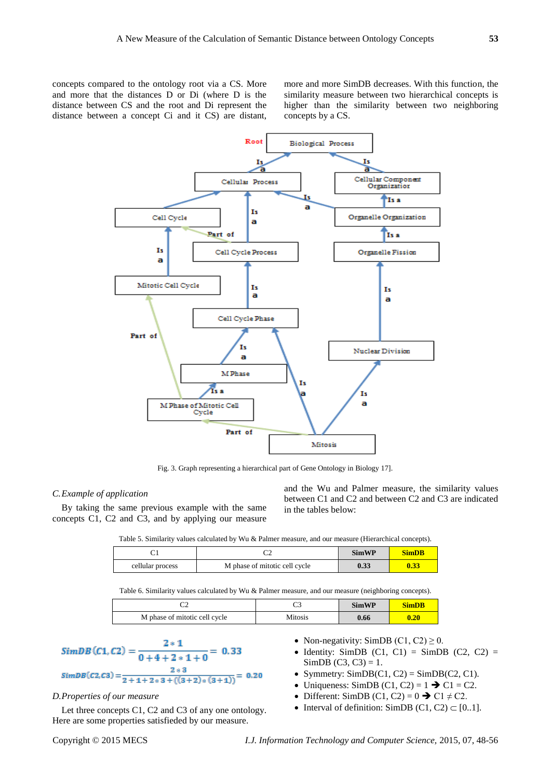concepts compared to the ontology root via a CS. More and more that the distances D or Di (where D is the distance between CS and the root and Di represent the distance between a concept Ci and it CS) are distant, more and more SimDB decreases. With this function, the similarity measure between two hierarchical concepts is higher than the similarity between two neighboring concepts by a CS.



Fig. 3. Graph representing a hierarchical part of Gene Ontology in Biology 17].

# *C.Example of application*

By taking the same previous example with the same concepts C1, C2 and C3, and by applying our measure

and the Wu and Palmer measure, the similarity values between C1 and C2 and between C2 and C3 are indicated in the tables below:

Table 5. Similarity values calculated by Wu & Palmer measure, and our measure (Hierarchical concepts).

|                  |                               | <b>SimWP</b> | SimDB |
|------------------|-------------------------------|--------------|-------|
| cellular process | M phase of mitotic cell cycle | 0.33         | 0.33  |

Table 6. Similarity values calculated by Wu & Palmer measure, and our measure (neighboring concepts).

|                               | <b>SimWP</b> | <b>SimDB</b> |
|-------------------------------|--------------|--------------|
| M phase of mitotic cell cycle | 0.66         | 0.20         |

$$
SimDB (C1, C2) = \frac{2*1}{0+4+2*1+0} = 0.33
$$
  
\n
$$
SimDB(C2, C3) = \frac{2*3}{2+1+2*3+((3+2)*(3+1))} = 0.20
$$

### *D.Properties of our measure*

Let three concepts C1, C2 and C3 of any one ontology. Here are some properties satisfieded by our measure.

- Non-negativity: SimDB  $(C1, C2) \ge 0$ .
- Identity: SimDB  $(C1, C1) =$  SimDB  $(C2, C2) =$ SimDB  $(C3, C3) = 1$ .
- Symmetry:  $SimDB(C1, C2) = SimDB(C2, C1)$ .
- Uniqueness: SimDB (C1, C2) =  $1 \rightarrow C1 = C2$ .
- Different: SimDB (C1, C2) =  $0 \rightarrow C1 \neq C2$ .
- Interval of definition: SimDB (C1, C2)  $\subset$  [0..1].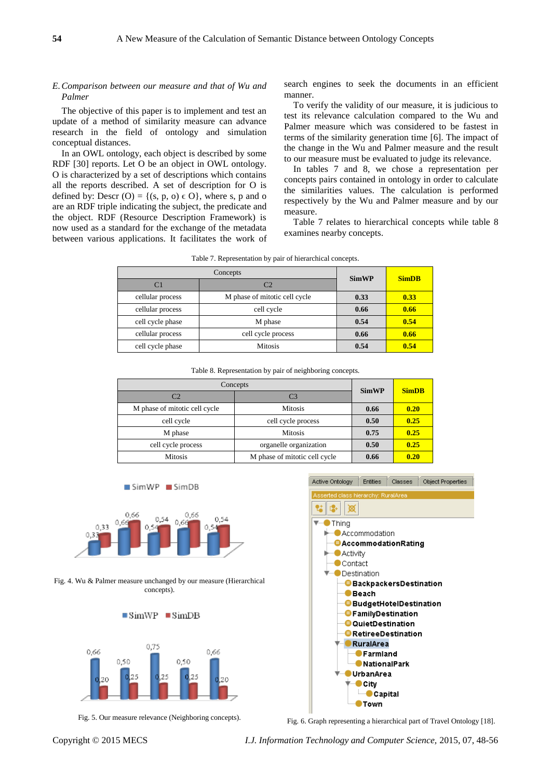### *E.Comparison between our measure and that of Wu and Palmer*

The objective of this paper is to implement and test an update of a method of similarity measure can advance research in the field of ontology and simulation conceptual distances.

In an OWL ontology, each object is described by some RDF [30] reports. Let O be an object in OWL ontology. O is characterized by a set of descriptions which contains all the reports described. A set of description for O is defined by: Descr (O) = {(s, p, o)  $\in$  O}, where s, p and o are an RDF triple indicating the subject, the predicate and the object. RDF (Resource Description Framework) is now used as a standard for the exchange of the metadata between various applications. It facilitates the work of search engines to seek the documents in an efficient manner.

To verify the validity of our measure, it is judicious to test its relevance calculation compared to the Wu and Palmer measure which was considered to be fastest in terms of the similarity generation time [6]. The impact of the change in the Wu and Palmer measure and the result to our measure must be evaluated to judge its relevance.

In tables 7 and 8, we chose a representation per concepts pairs contained in ontology in order to calculate the similarities values. The calculation is performed respectively by the Wu and Palmer measure and by our measure.

Table 7 relates to hierarchical concepts while table 8 examines nearby concepts.

| Concepts         |                               | <b>SimWP</b> | <b>SimDB</b> |
|------------------|-------------------------------|--------------|--------------|
|                  | C <sub>2</sub>                |              |              |
| cellular process | M phase of mitotic cell cycle | 0.33         | 0.33         |
| cellular process | cell cycle                    | 0.66         | 0.66         |
| cell cycle phase | M phase                       | 0.54         | 0.54         |
| cellular process | cell cycle process            | 0.66         | 0.66         |
| cell cycle phase | <b>Mitosis</b>                | 0.54         | 0.54         |

| Table 7. Representation by pair of hierarchical concepts. |  |  |  |
|-----------------------------------------------------------|--|--|--|
|-----------------------------------------------------------|--|--|--|

### Table 8. Representation by pair of neighboring concepts.

| Concepts                      | <b>SimWP</b>                  | <b>SimDB</b> |      |  |
|-------------------------------|-------------------------------|--------------|------|--|
| C <sub>2</sub>                |                               |              |      |  |
| M phase of mitotic cell cycle | <b>Mitosis</b>                | 0.66         | 0.20 |  |
| cell cycle                    | cell cycle process            | 0.50         | 0.25 |  |
| M phase                       | <b>Mitosis</b>                | 0.75         | 0.25 |  |
| cell cycle process            | organelle organization        | 0.50         | 0.25 |  |
| <b>Mitosis</b>                | M phase of mitotic cell cycle | 0.66         | 0.20 |  |

![](_page_6_Figure_12.jpeg)

Fig. 4. Wu & Palmer measure unchanged by our measure (Hierarchical concepts).

![](_page_6_Figure_14.jpeg)

![](_page_6_Figure_15.jpeg)

![](_page_6_Picture_17.jpeg)

Fig. 5. Our measure relevance (Neighboring concepts). Fig. 6. Graph representing a hierarchical part of Travel Ontology [18].

Copyright © 2015 MECS *I.J. Information Technology and Computer Science,* 2015, 07, 48-56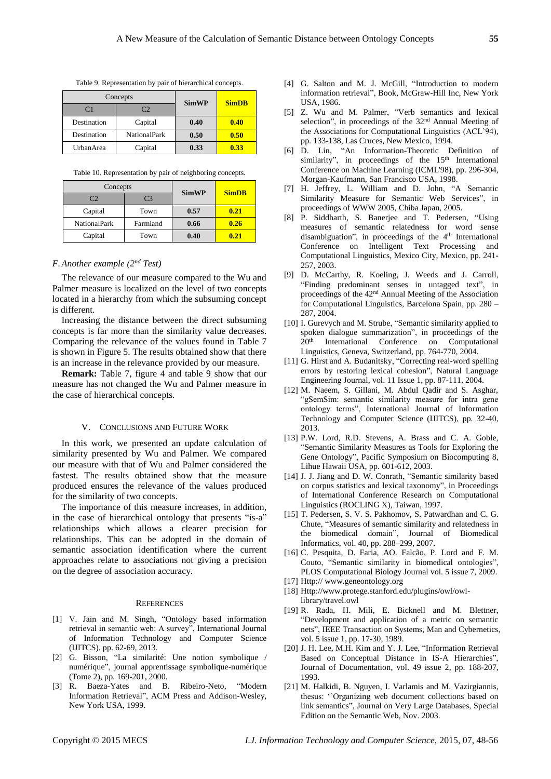| Concepts       |                     | <b>SimWP</b> | <b>SimDB</b> |
|----------------|---------------------|--------------|--------------|
| C <sub>1</sub> | C2                  |              |              |
| Destination    | Capital             | 0.40         | 0.40         |
| Destination    | <b>NationalPark</b> | 0.50         | 0.50         |
| Urban Area     | Capital             | 0.33         | 0.33         |

Table 9. Representation by pair of hierarchical concepts.

Table 10. Representation by pair of neighboring concepts.

| Concepts            |                | <b>SimWP</b> | <b>SimDB</b> |
|---------------------|----------------|--------------|--------------|
| C2                  | C <sub>3</sub> |              |              |
| Capital             | Town           | 0.57         | 0.21         |
| <b>NationalPark</b> | Farmland       | 0.66         | 0.26         |
| Capital             | Town           | 0.40         | 0.21         |

### *F.Another example (2nd Test)*

The relevance of our measure compared to the Wu and Palmer measure is localized on the level of two concepts located in a hierarchy from which the subsuming concept is different.

Increasing the distance between the direct subsuming concepts is far more than the similarity value decreases. Comparing the relevance of the values found in Table 7 is shown in Figure 5. The results obtained show that there is an increase in the relevance provided by our measure.

**Remark:** Table 7, figure 4 and table 9 show that our measure has not changed the Wu and Palmer measure in the case of hierarchical concepts.

### V. CONCLUSIONS AND FUTURE WORK

In this work, we presented an update calculation of similarity presented by Wu and Palmer. We compared our measure with that of Wu and Palmer considered the fastest. The results obtained show that the measure produced ensures the relevance of the values produced for the similarity of two concepts.

The importance of this measure increases, in addition, in the case of hierarchical ontology that presents "is-a" relationships which allows a clearer precision for relationships. This can be adopted in the domain of semantic association identification where the current approaches relate to associations not giving a precision on the degree of association accuracy.

### **REFERENCES**

- [1] V. Jain and M. Singh, "Ontology based information retrieval in semantic web: A survey", International Journal of Information Technology and Computer Science (IJITCS), pp. 62-69, 2013.
- [2] G. Bisson, "La similarité: Une notion symbolique / numérique", journal apprentissage symbolique-numérique (Tome 2), pp. 169-201, 2000.
- [3] R. Baeza-Yates and B. Ribeiro-Neto, "Modern Information Retrieval", ACM Press and Addison-Wesley, New York USA, 1999.
- [4] G. Salton and M. J. McGill, "Introduction to modern information retrieval", Book, McGraw-Hill Inc, New York USA, 1986.
- [5] Z. Wu and M. Palmer, "Verb semantics and lexical selection", in proceedings of the 32<sup>nd</sup> Annual Meeting of the Associations for Computational Linguistics (ACL'94), pp. 133-138, Las Cruces, New Mexico, 1994.
- [6] D. Lin, "An Information-Theoretic Definition of similarity", in proceedings of the 15<sup>th</sup> International Conference on Machine Learning (ICML'98), pp. 296-304, Morgan-Kaufmann, San Francisco USA, 1998.
- [7] H. Jeffrey, L. William and D. John, "A Semantic Similarity Measure for Semantic Web Services", in proceedings of WWW 2005, Chiba Japan, 2005.
- [8] P. Siddharth, S. Banerjee and T. Pedersen, "Using measures of semantic relatedness for word sense disambiguation", in proceedings of the 4<sup>th</sup> International Conference on Intelligent Text Processing and Computational Linguistics, Mexico City, Mexico, pp. 241- 257, 2003.
- [9] D. McCarthy, R. Koeling, J. Weeds and J. Carroll, "Finding predominant senses in untagged text", in proceedings of the 42nd Annual Meeting of the Association for Computational Linguistics, Barcelona Spain, pp. 280 – 287, 2004.
- [10] I. Gurevych and M. Strube, "Semantic similarity applied to spoken dialogue summarization", in proceedings of the 20th International Conference on Computational Linguistics, Geneva, Switzerland, pp. 764-770, 2004.
- [11] G. Hirst and A. Budanitsky, "Correcting real-word spelling errors by restoring lexical cohesion", Natural Language Engineering Journal, vol. 11 Issue 1, pp. 87-111, 2004.
- [12] M. Naeem, S. Gillani, M. Abdul Qadir and S. Asghar, "gSemSim: semantic similarity measure for intra gene ontology terms", International Journal of Information Technology and Computer Science (IJITCS), pp. 32-40, 2013.
- [13] P.W. Lord, R.D. Stevens, A. Brass and C. A. Goble, "Semantic Similarity Measures as Tools for Exploring the Gene Ontology", Pacific Symposium on Biocomputing 8, Lihue Hawaii USA, pp. 601-612, 2003.
- [14] J. J. Jiang and D. W. Conrath, "Semantic similarity based on corpus statistics and lexical taxonomy", in Proceedings of International Conference Research on Computational Linguistics (ROCLING X), Taiwan, 1997.
- [15] T. Pedersen, S. V. S. Pakhomov, S. Patwardhan and C. G. Chute, "Measures of semantic similarity and relatedness in the biomedical domain", Journal of Biomedical Informatics, vol. 40, pp. 288–299, 2007.
- [16] C. Pesquita, D. Faria, AO. Falcão, P. Lord and F. M. Couto, "Semantic similarity in biomedical ontologies", PLOS Computational Biology Journal vol. 5 issue 7, 2009.
- [17] Http:// [www.geneontology.org](http://www.geneontology.org/)
- [18] Http://www.protege.stanford.edu/plugins/owl/owllibrary/travel.owl
- [19] R. Rada, H. Mili, E. Bicknell and M. Blettner, "Development and application of a metric on semantic nets", IEEE Transaction on Systems, Man and Cybernetics, vol. 5 issue 1, pp. 17-30, 1989.
- [20] J. H. Lee, M.H. Kim and Y. J. Lee, "Information Retrieval Based on Conceptual Distance in IS-A Hierarchies", Journal of Documentation, vol. 49 issue 2, pp. 188-207, 1993.
- [21] M. Halkidi, B. Nguyen, I. Varlamis and M. Vazirgiannis, thesus: ''Organizing web document collections based on link semantics", Journal on Very Large Databases, Special Edition on the Semantic Web, Nov. 2003.